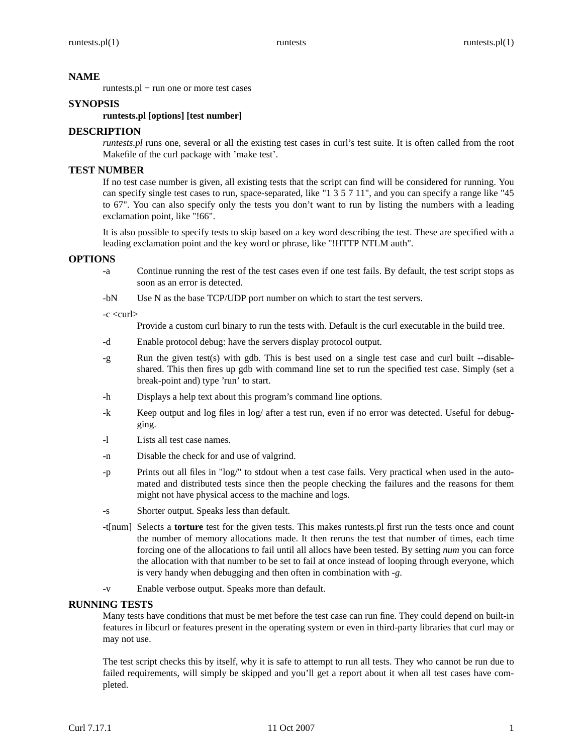## **NAME**

runtests.pl − run one or more test cases

## **SYNOPSIS**

## **runtests.pl [options] [test number]**

## **DESCRIPTION**

*runtests.pl* runs one, several or all the existing test cases in curl's test suite. It is often called from the root Makefile of the curl package with 'make test'.

# **TEST NUMBER**

If no test case number is given, all existing tests that the script can find will be considered for running. You can specify single test cases to run, space-separated, like "1 3 5 7 11", and you can specify a range like "45 to 67". You can also specify only the tests you don't want to run by listing the numbers with a leading exclamation point, like "!66".

It is also possible to specify tests to skip based on a key word describing the test. These are specified with a leading exclamation point and the key word or phrase, like "!HTTP NTLM auth".

#### **OPTIONS**

- -a Continue running the rest of the test cases even if one test fails. By default, the test script stops as soon as an error is detected.
- -bN Use N as the base TCP/UDP port number on which to start the test servers.

#### -c <curl>

Provide a custom curl binary to run the tests with. Default is the curl executable in the build tree.

- -d Enable protocol debug: have the servers display protocol output.
- -g Run the given test(s) with gdb. This is best used on a single test case and curl built --disableshared. This then fires up gdb with command line set to run the specified test case. Simply (set a break-point and) type 'run' to start.
- -h Displays a help text about this program's command line options.
- -k Keep output and log files in log/ after a test run, even if no error was detected. Useful for debugging.
- -l Lists all test case names.
- -n Disable the check for and use of valgrind.
- -p Prints out all files in "log/" to stdout when a test case fails. Very practical when used in the automated and distributed tests since then the people checking the failures and the reasons for them might not have physical access to the machine and logs.
- -s Shorter output. Speaks less than default.
- -t[num] Selects a **torture** test for the given tests. This makes runtests.pl first run the tests once and count the number of memory allocations made. It then reruns the test that number of times, each time forcing one of the allocations to fail until all allocs have been tested. By setting *num* you can force the allocation with that number to be set to fail at once instead of looping through everyone, which is very handy when debugging and then often in combination with *-g*.
- -v Enable verbose output. Speaks more than default.

# **RUNNING TESTS**

Many tests have conditions that must be met before the test case can run fine. They could depend on built-in features in libcurl or features present in the operating system or even in third-party libraries that curl may or may not use.

The test script checks this by itself, why it is safe to attempt to run all tests. They who cannot be run due to failed requirements, will simply be skipped and you'll get a report about it when all test cases have completed.